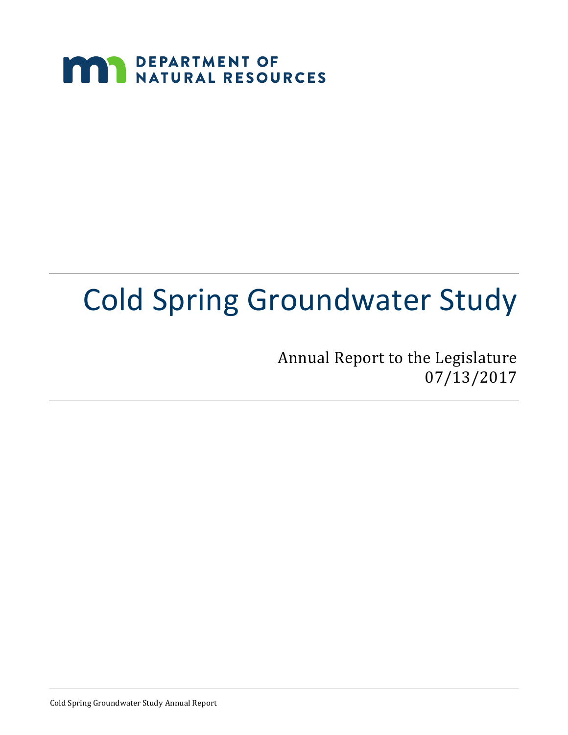

# Cold Spring Groundwater Study

Annual Report to the Legislature 07/13/2017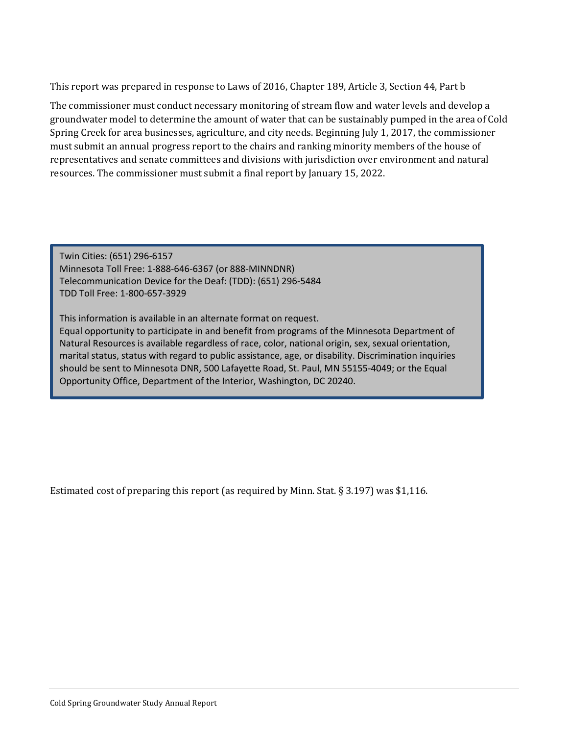This report was prepared in response to Laws of 2016, Chapter 189, Article 3, Section 44, Part b

The commissioner must conduct necessary monitoring of stream flow and water levels and develop a groundwater model to determine the amount of water that can be sustainably pumped in the area of Cold Spring Creek for area businesses, agriculture, and city needs. Beginning July 1, 2017, the commissioner must submit an annual progress report to the chairs and ranking minority members of the house of representatives and senate committees and divisions with jurisdiction over environment and natural resources. The commissioner must submit a final report by January 15, 2022.

Twin Cities: (651) 296-6157 Minnesota Toll Free: 1-888-646-6367 (or 888-MINNDNR) Telecommunication Device for the Deaf: (TDD): (651) 296-5484 TDD Toll Free: 1-800-657-3929

This information is available in an alternate format on request. Equal opportunity to participate in and benefit from programs of the Minnesota Department of Natural Resources is available regardless of race, color, national origin, sex, sexual orientation, marital status, status with regard to public assistance, age, or disability. Discrimination inquiries should be sent to Minnesota DNR, 500 Lafayette Road, St. Paul, MN 55155-4049; or the Equal Opportunity Office, Department of the Interior, Washington, DC 20240.

Estimated cost of preparing this report (as required by Minn. Stat. § 3.197) was \$1,116.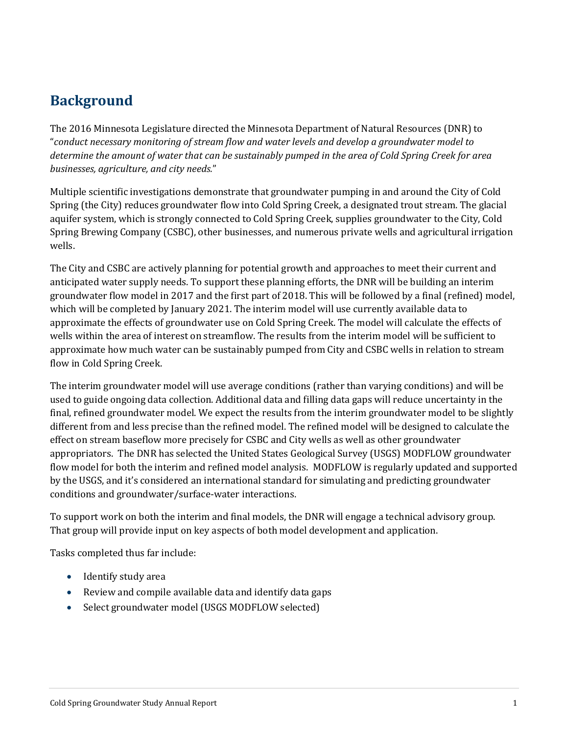## **Background**

The 2016 Minnesota Legislature directed the Minnesota Department of Natural Resources (DNR) to "*conduct necessary monitoring of stream flow and water levels and develop a groundwater model to determine the amount of water that can be sustainably pumped in the area of Cold Spring Creek for area businesses, agriculture, and city needs.*"

Multiple scientific investigations demonstrate that groundwater pumping in and around the City of Cold Spring (the City) reduces groundwater flow into Cold Spring Creek, a designated trout stream. The glacial aquifer system, which is strongly connected to Cold Spring Creek, supplies groundwater to the City, Cold Spring Brewing Company (CSBC), other businesses, and numerous private wells and agricultural irrigation wells.

The City and CSBC are actively planning for potential growth and approaches to meet their current and anticipated water supply needs. To support these planning efforts, the DNR will be building an interim groundwater flow model in 2017 and the first part of 2018. This will be followed by a final (refined) model, which will be completed by January 2021. The interim model will use currently available data to approximate the effects of groundwater use on Cold Spring Creek. The model will calculate the effects of wells within the area of interest on streamflow. The results from the interim model will be sufficient to approximate how much water can be sustainably pumped from City and CSBC wells in relation to stream flow in Cold Spring Creek.

The interim groundwater model will use average conditions (rather than varying conditions) and will be used to guide ongoing data collection. Additional data and filling data gaps will reduce uncertainty in the final, refined groundwater model. We expect the results from the interim groundwater model to be slightly different from and less precise than the refined model. The refined model will be designed to calculate the effect on stream baseflow more precisely for CSBC and City wells as well as other groundwater appropriators. The DNR has selected the United States Geological Survey (USGS) MODFLOW groundwater flow model for both the interim and refined model analysis. MODFLOW is regularly updated and supported by the USGS, and it's considered an international standard for simulating and predicting groundwater conditions and groundwater/surface-water interactions.

To support work on both the interim and final models, the DNR will engage a technical advisory group. That group will provide input on key aspects of both model development and application.

Tasks completed thus far include:

- Identify study area
- Review and compile available data and identify data gaps
- Select groundwater model (USGS MODFLOW selected)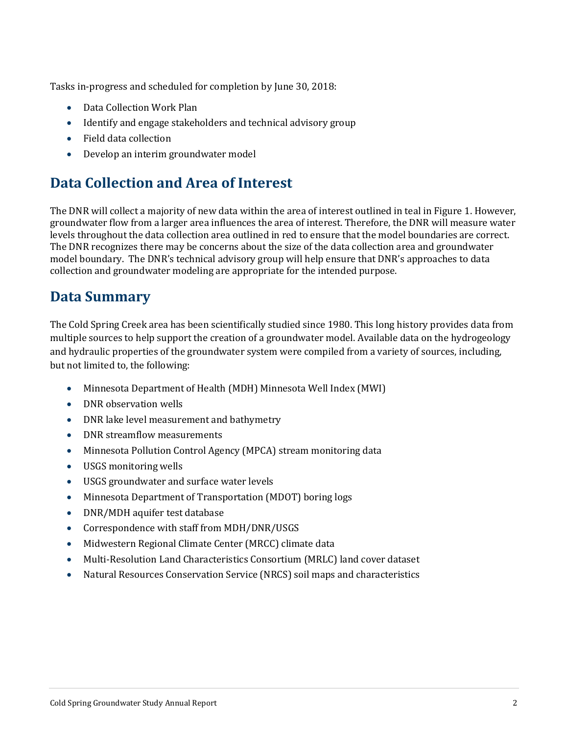Tasks in-progress and scheduled for completion by June 30, 2018:

- Data Collection Work Plan
- Identify and engage stakeholders and technical advisory group
- Field data collection
- Develop an interim groundwater model

## **Data Collection and Area of Interest**

The DNR will collect a majority of new data within the area of interest outlined in teal in Figure 1. However, groundwater flow from a larger area influences the area of interest. Therefore, the DNR will measure water levels throughout the data collection area outlined in red to ensure that the model boundaries are correct. The DNR recognizes there may be concerns about the size of the data collection area and groundwater model boundary. The DNR's technical advisory group will help ensure that DNR's approaches to data collection and groundwater modeling are appropriate for the intended purpose.

### **Data Summary**

The Cold Spring Creek area has been scientifically studied since 1980. This long history provides data from multiple sources to help support the creation of a groundwater model. Available data on the hydrogeology and hydraulic properties of the groundwater system were compiled from a variety of sources, including, but not limited to, the following:

- Minnesota Department of Health (MDH) Minnesota Well Index (MWI)
- DNR observation wells
- DNR lake level measurement and bathymetry
- DNR streamflow measurements
- Minnesota Pollution Control Agency (MPCA) stream monitoring data
- USGS monitoring wells
- USGS groundwater and surface water levels
- Minnesota Department of Transportation (MDOT) boring logs
- DNR/MDH aquifer test database
- Correspondence with staff from MDH/DNR/USGS
- Midwestern Regional Climate Center (MRCC) climate data
- Multi-Resolution Land Characteristics Consortium (MRLC) land cover dataset
- Natural Resources Conservation Service (NRCS) soil maps and characteristics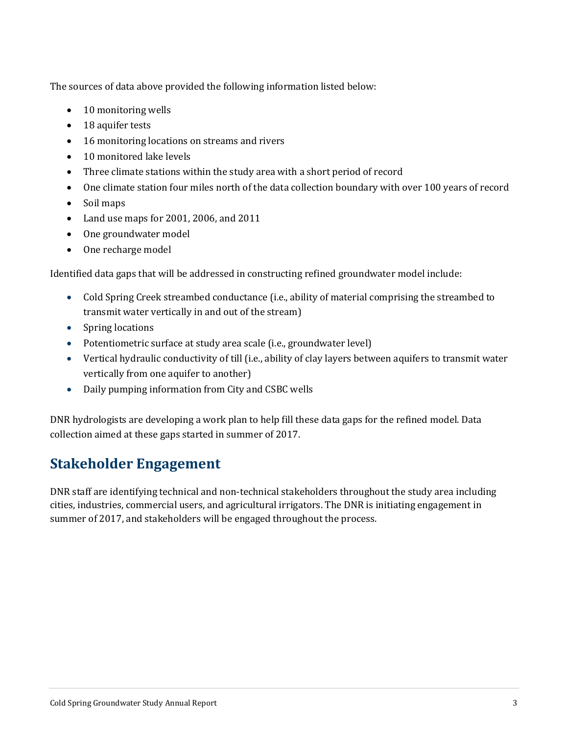The sources of data above provided the following information listed below:

- 10 monitoring wells
- 18 aquifer tests
- 16 monitoring locations on streams and rivers
- 10 monitored lake levels
- Three climate stations within the study area with a short period of record
- One climate station four miles north of the data collection boundary with over 100 years of record
- Soil maps
- Land use maps for 2001, 2006, and 2011
- One groundwater model
- One recharge model

Identified data gaps that will be addressed in constructing refined groundwater model include:

- Cold Spring Creek streambed conductance (i.e., ability of material comprising the streambed to transmit water vertically in and out of the stream)
- Spring locations
- Potentiometric surface at study area scale (i.e., groundwater level)
- Vertical hydraulic conductivity of till (i.e., ability of clay layers between aquifers to transmit water vertically from one aquifer to another)
- Daily pumping information from City and CSBC wells

DNR hydrologists are developing a work plan to help fill these data gaps for the refined model. Data collection aimed at these gaps started in summer of 2017.

## **Stakeholder Engagement**

DNR staff are identifying technical and non-technical stakeholders throughout the study area including cities, industries, commercial users, and agricultural irrigators. The DNR is initiating engagement in summer of 2017, and stakeholders will be engaged throughout the process.